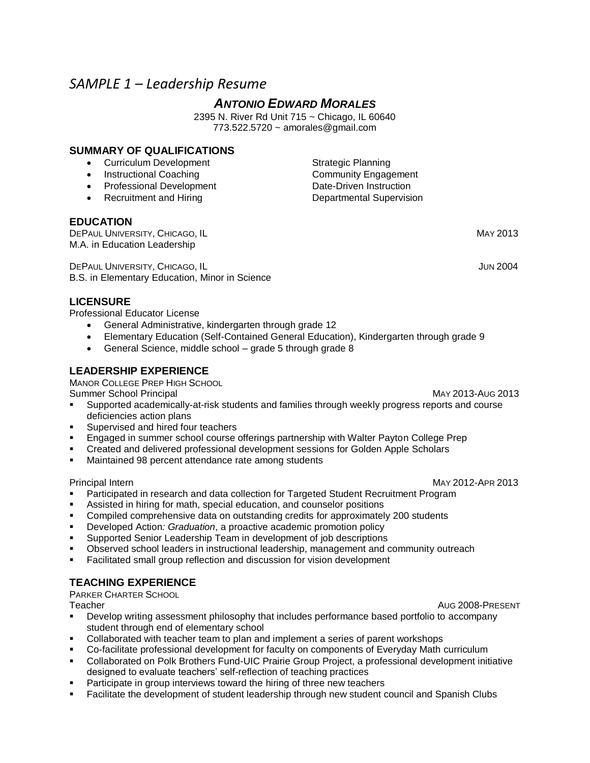# *SAMPLE 1 – Leadership Resume*

# *ANTONIO EDWARD MORALES*

2395 N. River Rd Unit 715 ~ Chicago, IL 60640 773.522.5720 ~ amorales@gmail.com

# **SUMMARY OF QUALIFICATIONS**

- Curriculum Development Strategic Planning
- 
- Professional Development Date-Driven Instruction
- 

## **EDUCATION**

**DEPAUL UNIVERSITY, CHICAGO, IL CHICAGO, IL** MAY 2013 M.A. in Education Leadership

DEPAUL UNIVERSITY, CHICAGO, IL JUN 2004 B.S. in Elementary Education, Minor in Science

# **LICENSURE**

Professional Educator License

- General Administrative, kindergarten through grade 12
- Elementary Education (Self-Contained General Education), Kindergarten through grade 9
- General Science, middle school grade 5 through grade 8

# **LEADERSHIP EXPERIENCE**

MANOR COLLEGE PREP HIGH SCHOOL

Summer School Principal MAY 2013-AUG 2013

- Supported academically-at-risk students and families through weekly progress reports and course deficiencies action plans
- Supervised and hired four teachers
- Engaged in summer school course offerings partnership with Walter Payton College Prep
- Created and delivered professional development sessions for Golden Apple Scholars
- Maintained 98 percent attendance rate among students

Principal Intern MAY 2012-APR 2013

- Participated in research and data collection for Targeted Student Recruitment Program
- Assisted in hiring for math, special education, and counselor positions
- Compiled comprehensive data on outstanding credits for approximately 200 students
- Developed Action*: Graduation*, a proactive academic promotion policy
- Supported Senior Leadership Team in development of job descriptions
- Observed school leaders in instructional leadership, management and community outreach
- Facilitated small group reflection and discussion for vision development

# **TEACHING EXPERIENCE**

PARKER CHARTER SCHOOL

Teacher AUG 2008-PRESENT

- Develop writing assessment philosophy that includes performance based portfolio to accompany student through end of elementary school
- Collaborated with teacher team to plan and implement a series of parent workshops
- Co-facilitate professional development for faculty on components of Everyday Math curriculum
- Collaborated on Polk Brothers Fund-UIC Prairie Group Project, a professional development initiative designed to evaluate teachers' self-reflection of teaching practices
- Participate in group interviews toward the hiring of three new teachers
- Facilitate the development of student leadership through new student council and Spanish Clubs

• Instructional Coaching Community Engagement • Recruitment and Hiring **Departmental Supervision**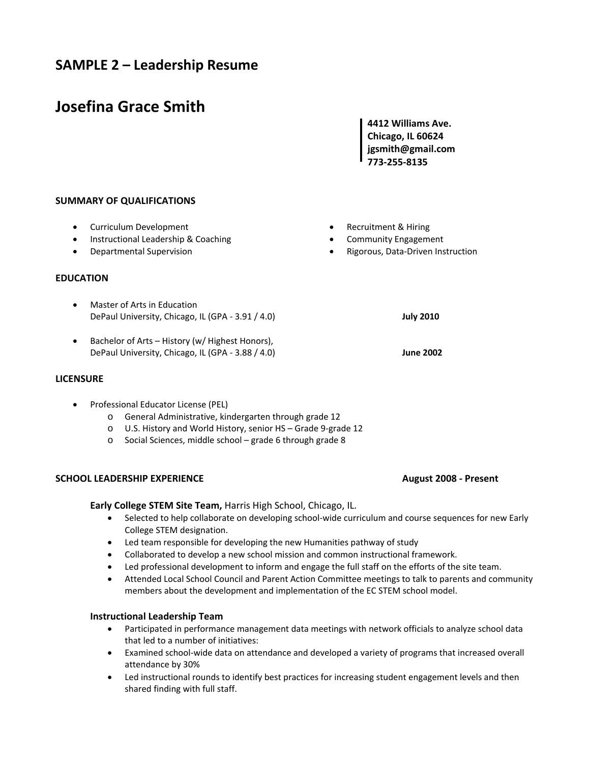# **SAMPLE 2 – Leadership Resume**

# **Josefina Grace Smith**

**4412 Williams Ave. Chicago, IL 60624 jgsmith@gmail.com 773‐255‐8135**

## **SUMMARY OF QUALIFICATIONS**

- Curriculum Development
- Instructional Leadership & Coaching
- Departmental Supervision

#### **EDUCATION**

- Master of Arts in Education DePaul University, Chicago, IL (GPA ‐ 3.91 / 4.0) **July 2010**
- Bachelor of Arts History (w/ Highest Honors), DePaul University, Chicago, IL (GPA ‐ 3.88 / 4.0) **June 2002**

#### **LICENSURE**

- Professional Educator License (PEL)
	- o General Administrative, kindergarten through grade 12
	- o U.S. History and World History, senior HS Grade 9‐grade 12
	- o Social Sciences, middle school grade 6 through grade 8

#### **SCHOOL LEADERSHIP EXPERIENCE August 2008 ‐ Present**

**Early College STEM Site Team,** Harris High School, Chicago, IL.

- Selected to help collaborate on developing school-wide curriculum and course sequences for new Early College STEM designation.
- Led team responsible for developing the new Humanities pathway of study
- Collaborated to develop a new school mission and common instructional framework.
- Led professional development to inform and engage the full staff on the efforts of the site team.
- Attended Local School Council and Parent Action Committee meetings to talk to parents and community members about the development and implementation of the EC STEM school model.

#### **Instructional Leadership Team**

- Participated in performance management data meetings with network officials to analyze school data that led to a number of initiatives:
- Examined school-wide data on attendance and developed a variety of programs that increased overall attendance by 30%
- Led instructional rounds to identify best practices for increasing student engagement levels and then shared finding with full staff.
- Recruitment & Hiring
- Community Engagement
- Rigorous, Data‐Driven Instruction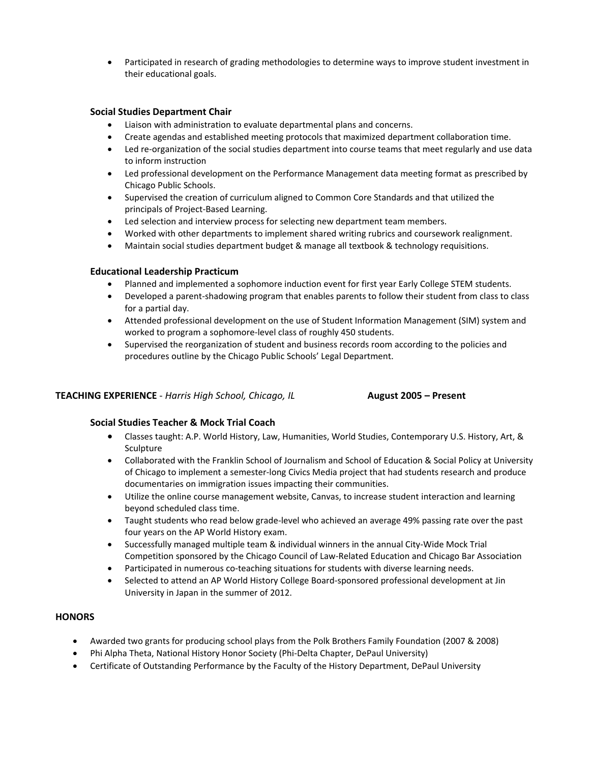Participated in research of grading methodologies to determine ways to improve student investment in their educational goals.

#### **Social Studies Department Chair**

- Liaison with administration to evaluate departmental plans and concerns.
- Create agendas and established meeting protocols that maximized department collaboration time.
- Led re-organization of the social studies department into course teams that meet regularly and use data to inform instruction
- Led professional development on the Performance Management data meeting format as prescribed by Chicago Public Schools.
- Supervised the creation of curriculum aligned to Common Core Standards and that utilized the principals of Project‐Based Learning.
- Led selection and interview process for selecting new department team members.
- Worked with other departments to implement shared writing rubrics and coursework realignment.
- Maintain social studies department budget & manage all textbook & technology requisitions.

#### **Educational Leadership Practicum**

- Planned and implemented a sophomore induction event for first year Early College STEM students.
- Developed a parent-shadowing program that enables parents to follow their student from class to class for a partial day.
- Attended professional development on the use of Student Information Management (SIM) system and worked to program a sophomore‐level class of roughly 450 students.
- Supervised the reorganization of student and business records room according to the policies and procedures outline by the Chicago Public Schools' Legal Department.

## **TEACHING EXPERIENCE** ‐ *Harris High School, Chicago, IL* **August 2005 – Present**

#### **Social Studies Teacher & Mock Trial Coach**

- Classes taught: A.P. World History, Law, Humanities, World Studies, Contemporary U.S. History, Art, & Sculpture
- Collaborated with the Franklin School of Journalism and School of Education & Social Policy at University of Chicago to implement a semester‐long Civics Media project that had students research and produce documentaries on immigration issues impacting their communities.
- Utilize the online course management website, Canvas, to increase student interaction and learning beyond scheduled class time.
- Taught students who read below grade-level who achieved an average 49% passing rate over the past four years on the AP World History exam.
- Successfully managed multiple team & individual winners in the annual City‐Wide Mock Trial Competition sponsored by the Chicago Council of Law‐Related Education and Chicago Bar Association
- Participated in numerous co-teaching situations for students with diverse learning needs.
- Selected to attend an AP World History College Board‐sponsored professional development at Jin University in Japan in the summer of 2012.

#### **HONORS**

- Awarded two grants for producing school plays from the Polk Brothers Family Foundation (2007 & 2008)
- Phi Alpha Theta, National History Honor Society (Phi‐Delta Chapter, DePaul University)
- Certificate of Outstanding Performance by the Faculty of the History Department, DePaul University